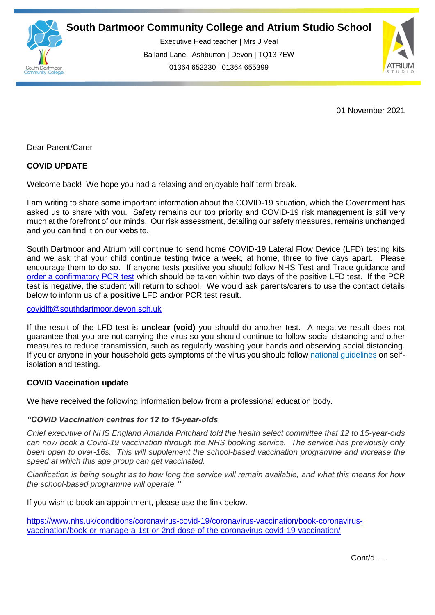

Executive Head teacher | Mrs J Veal Balland Lane | Ashburton | Devon | TQ13 7EW 01364 652230 | 01364 655399



01 November 2021

Dear Parent/Carer

## **COVID UPDATE**

Welcome back! We hope you had a relaxing and enjoyable half term break.

I am writing to share some important information about the COVID-19 situation, which the Government has asked us to share with you. Safety remains our top priority and COVID-19 risk management is still very much at the forefront of our minds. Our risk assessment, detailing our safety measures, remains unchanged and you can find it on our website.

South Dartmoor and Atrium will continue to send home COVID-19 Lateral Flow Device (LFD) testing kits and we ask that your child continue testing twice a week, at home, three to five days apart. Please encourage them to do so. If anyone tests positive you should follow NHS Test and Trace guidance and [order a confirmatory PCR test](http://email.groupcallalert.com/ls/click?upn=YR3-2B-2Bfq6AGF0NHzyx6UGI-2FuzF-2FTHvWgJh0xOswptcmgGqbWqTTAqx-2Bwbp6HuqY0gfW9ANClMHH8n6x5n3fcFgNmVx7gziNCKbCZxWRaEAP6YOqbbtXU7XD03CYFcSxuggXBJucGu3HPDUxHbRDDWlB8lKWInEouFVF4haqD8jOrcVZgtfXHqGQpIjjbrFuK4hzAIOwgFtvRXqxHxeep8RyJRXWh0NzchifhuHkIEIdnMxSwAwYtWX4G5dQwgfnQfqTNHYLAV7RAvPB2BUVuDG6XG7YU5wXc1ue41KbMbl7K0Tw4RKrDo-2FOi2FbEcDL1ZWkVEYO3PwetvDfYsc46WqM-2FMPNAIg51cFbmjg6ykv0c2UaDm5iMvxFRQ-2FiI-2F09Cf0wfi3PV9NvIoLRc-2FBNOhdFkGO5pQlvwwsJWjzusgDpe-2F02iTBgw-2B22UiGmayvfPvB2C-2F84OYtAJsJFmzIORrsPyX-2BxCYEYjgJkHc-2BBkKBsEre7BsrUFc-2BmdnZhClB-2BShfo1UifM7u9UdrdQCZQJZnq-2FMkUc0D4CBfITTaheLEFU-2BJrI6sckvYp8xlR91-2FJNbQ6DgQxLcrn2s5PkvNvum4-2FeQwJESzEHr4JmgUbvEOGBwE-2BoxJ1F9mfyALuXuNmf9vuS4f2jNan77o33xOOJ8VTDwRTwlwynjz39AzPHIjIzVsaiFHaWkIxYGT8nw20QeaV0ktnqxHmOEmG-2FgfO5G9ul8z1Z91-2FIuZKJDo15-2Bf-2FUvQFAw9SvXKfka6nXMDUppossMbCT6gghoH1P13-2BNarIRrqSSBk2oqHlREUIKy55rGAwV0Q-2Fe8TSbvpKtdNWa40vLc5S0KO6H1B8q4yI08eFKIBVMYzQw0VHVacXMoP0pmqrXBHII0bjIMQt187M63ABcGPnbGdhrSyqA3r7UYsTNryORdL4LCh95817CQ4ZaO-2FJOI2l-2FzeLzc1G2i-2FIHLEVcSTgCDOM-2BSSOIRMi45uVavwgKQmocllxf5eQdqm31n76nYQvN4ZsononsI48rqc9qtWCpeYC3QWONssV8IwQ-3D-3DSMjz_D-2BG7CuR43iXKtkMJXihMbnmFbxX9V3-2FoBx97foI0XR-2BbIihLqYb6wWZ-2B8EHNs0ov0cR1Sca0FC8-2BGwlGGNHekSmh5GmXdqkQNueQNvr3FxeLOmqDO8IGdQ9sY3ZB483ogq45pMlFUyuC-2BhufvFt5AFBymyqc00tNaGvx3RwyacSEGa-2BbEhAjp0F2gcC2XvEX5-2BQWNuQl-2B4eyD-2FQ555a1CPu9AT5zWgT8mlK5za8fs-2BqRkkhr3lNajUvCk6EBou53xy7-2BDJu9WAyJ92rpsJ7RwnJIu9jjEJ-2FIgm0q8xf1uJabMemBDh9SfkbKhAC0-2BaEDkNlqM6t9CshRGtJ81e-2F4n56Ebn6-2FX-2BtvHgbzifvVsZ9CLA2YW-2FqmQdZtXrV1cRn6EkyOspR3WNazKqvnyHsIGkZOZPVIHVQTNVygBXLFhFNfkub99Pqzqq4xDCb9-2FYfj) which should be taken within two days of the positive LFD test. If the PCR test is negative, the student will return to school. We would ask parents/carers to use the contact details below to inform us of a **positive** LFD and/or PCR test result.

## [covidlft@southdartmoor.devon.sch.uk](mailto:covidlft@southdartmoor.devon.sch.uk)

If the result of the LFD test is **unclear (void)** you should do another test. A negative result does not guarantee that you are not carrying the virus so you should continue to follow social distancing and other measures to reduce transmission, such as regularly washing your hands and observing social distancing. If you or anyone in your household gets symptoms of the virus you should follow [national guidelines](http://email.groupcallalert.com/ls/click?upn=YR3-2B-2Bfq6AGF0NHzyx6UGI-2FuzF-2FTHvWgJh0xOswptcmgGqbWqTTAqx-2Bwbp6HuqY0gfW9ANClMHH8n6x5n3fcFgNmVx7gziNCKbCZxWRaEAP6YOqbbtXU7XD03CYFcSxuggXBJucGu3HPDUxHbRDDWlPKjRBxSUF5XgTcLBW-2BjTeXLPeZpOvGuJu0fuEN4hMmsbAmUgoNztXhdzCD8Qr5bjiutrLGN3i9q2fvyxJri-2B-2Fgb8BrkOND6gR-2F6ZUTAYEAkVT-2B-2BW-2Fu2iVX1o4mtYHIfwnDqeWg-2FVSzXe71rIfeeTB6QnqRu8BNlEMyOUJwAJY8OI29L61Cvmdi-2BvLnrUmrI20fz71vA92rqhKhKH7b5R6DiOl6735SRGwpCZ6E2ShWfND0tnAMnvK7ywPHz9ekNbZzt-2BaWmVfbIfgsBA3dQEE-2BT6pnvc-2FIk5AeEdGkB0l1L5sSPaaIR7hcdWPFWiZWdyDTBkIbHkwubXbBQ1tER-2FjdAp-2BhC1rjE5DoAf9iE-2BjAVFJX1yJDzPKI3eX-2FlTIQKje7c5-2Bru5trKXZdWcQ0B5ZPHsn4557dDXP59FVBGCYb6Oz-2FEc0oCNkoZbgEX0B5rfT56H2n0z2UEbgk3p9ZnFdJNC9Aykvig9-2B63tzsTHEdU8p4MPggZHu1ruhLoLAxAPiLs7cfaYh0p-2FnVGSokclCAptBLC3z19nb2mKIZMLiY5ch0NkCDy0ocA9Muf6Ll8pZhGEmFE6-2FIJCYJssxz69DsKDAJqvN7wMjTYBt5aW3UuvDFANiCG3b3Dpc2msCGrHWhM7S46ndpunM-2BGjgfRzRDKSDTM4H0qv7Z9UG04w7UJHFxXqmjCUDNmwIIxqPopAh2XAX5TKuRS-2FUdD6yfzlPRRi3qKIT37lOJUb236RnskWBWkeYMDPoxxK5wet7ny-2BiFqwILcGGq-2BFx45LcuTTen-2F9MCtfpTi-2F5YwkNZfgV7ZXbCnl6-2F5pi6BFdfb1Qfj-2FBOzwN6chCf0pfxXuftNesqqiPypXIgecIXHwJK89zKuqcw5Lu70x-2Fd8YIltcBxwlU-2BFNAsswNdybPz0C950XVk04UnbAWf9Tq4oviLUU1MB-2FLB0yz9U3lSxpZljEBWA5dsH8RlAYNcMYFceRklDx9c-3DgG6J_D-2BG7CuR43iXKtkMJXihMbnmFbxX9V3-2FoBx97foI0XR-2BbIihLqYb6wWZ-2B8EHNs0ov0cR1Sca0FC8-2BGwlGGNHekSmh5GmXdqkQNueQNvr3FxeLOmqDO8IGdQ9sY3ZB483ogq45pMlFUyuC-2BhufvFt5AFBymyqc00tNaGvx3RwyacSEGa-2BbEhAjp0F2gcC2XvEX5-2BQWNuQl-2B4eyD-2FQ555a1CPu9AT5zWgT8mlK5za8fs-2BqRkkhr3lNajUvCk6EBou53xy7-2BDJu9WAyJ92rpsJ7RwnJIu9jjEJ-2FIgm0q8xf1uJZ2wOoVxjEv8Y6-2Fyr09ldRUp0urUFI0WbTH5ZpsQEnXcXZCW2wyBg7eGgf-2BdCl7ay07Q5LoLUaam8A083G3eLs1y3oOzpOX39w3KY1-2B4xpQJplA6VL0cIL1QCCM72ZX7XQ0DDGN1nrxnGOUm5h85lNT) on selfisolation and testing.

## **COVID Vaccination update**

We have received the following information below from a professional education body.

## *"COVID Vaccination centres for 12 to 15-year-olds*

*Chief executive of NHS England Amanda Pritchard told the health select committee that 12 to 15-year-olds can now book a Covid-19 vaccination through the NHS booking service. The service has previously only been open to over-16s. This will supplement the school-based vaccination programme and increase the speed at which this age group can get vaccinated.*

*Clarification is being sought as to how long the service will remain available, and what this means for how the school-based programme will operate."*

If you wish to book an appointment, please use the link below.

[https://www.nhs.uk/conditions/coronavirus-covid-19/coronavirus-vaccination/book-coronavirus](http://email.groupcallalert.com/ls/click?upn=QrOBJcca7DQpcdTvZvGK8UOl6KSJAUwW8gARpvqYAQ3ZoF8QziEZdS-2B5nPKXOIvQXCDuWQ02pv1CByM7IoWqfcJC0cdCTsK6JlY-2BDe2ITmsYOlUE5FXeQEWGu1V2-2B-2BA8xPwNxzGRu389btEV-2FPKAnNUbhbKve5dNBH7fTJ2fn4G7wAVEJl3gEpqy-2F2GMO-2FKicWJOAHxypmXf3YN9j47p5a6MTVDw-2FjaEDYq9vPZ2mZgkB-2FUchWBU4E-2FjqomGH5dnLWH0_D-2BG7CuR43iXKtkMJXihMbnmFbxX9V3-2FoBx97foI0XR-2BbIihLqYb6wWZ-2B8EHNs0ov0cR1Sca0FC8-2BGwlGGNHekSmh5GmXdqkQNueQNvr3FxeLOmqDO8IGdQ9sY3ZB483ogq45pMlFUyuC-2BhufvFt5AFBymyqc00tNaGvx3RwyacR2OCP0cNrypDvspY0ui0lW9ZFgHxGN2tvojMe1eAmg2zbUOUU9n4SpoDhFPVqlSIciAE6LMnGI4Nsq7v-2BcsiEcPw0x8K1ODhRJPmKbUdpxZTI3t6TVH2i226sTxqtHPd86SWjK0bhVSDO-2B5sHNJTqhufPPaguRTQjByRkDne9wK461Wd8SLzpntLUrci76WuUQAqknIeFxs9c9-2B-2FE6Kfo5M2wkxxOfdl28Pgro8vLm0j10-2FzSii4FvmJIwOz0uodKzBishsGrwAliyTIf36jm1)[vaccination/book-or-manage-a-1st-or-2nd-dose-of-the-coronavirus-covid-19-vaccination/](http://email.groupcallalert.com/ls/click?upn=QrOBJcca7DQpcdTvZvGK8UOl6KSJAUwW8gARpvqYAQ3ZoF8QziEZdS-2B5nPKXOIvQXCDuWQ02pv1CByM7IoWqfcJC0cdCTsK6JlY-2BDe2ITmsYOlUE5FXeQEWGu1V2-2B-2BA8xPwNxzGRu389btEV-2FPKAnNUbhbKve5dNBH7fTJ2fn4G7wAVEJl3gEpqy-2F2GMO-2FKicWJOAHxypmXf3YN9j47p5a6MTVDw-2FjaEDYq9vPZ2mZgkB-2FUchWBU4E-2FjqomGH5dnLWH0_D-2BG7CuR43iXKtkMJXihMbnmFbxX9V3-2FoBx97foI0XR-2BbIihLqYb6wWZ-2B8EHNs0ov0cR1Sca0FC8-2BGwlGGNHekSmh5GmXdqkQNueQNvr3FxeLOmqDO8IGdQ9sY3ZB483ogq45pMlFUyuC-2BhufvFt5AFBymyqc00tNaGvx3RwyacR2OCP0cNrypDvspY0ui0lW9ZFgHxGN2tvojMe1eAmg2zbUOUU9n4SpoDhFPVqlSIciAE6LMnGI4Nsq7v-2BcsiEcPw0x8K1ODhRJPmKbUdpxZTI3t6TVH2i226sTxqtHPd86SWjK0bhVSDO-2B5sHNJTqhufPPaguRTQjByRkDne9wK461Wd8SLzpntLUrci76WuUQAqknIeFxs9c9-2B-2FE6Kfo5M2wkxxOfdl28Pgro8vLm0j10-2FzSii4FvmJIwOz0uodKzBishsGrwAliyTIf36jm1)

Cont/d ….